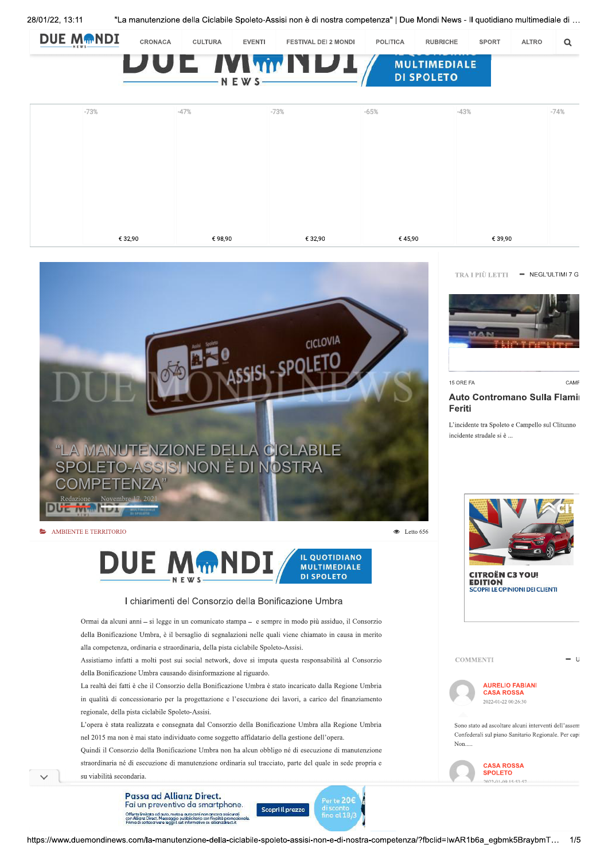



## I chiarimenti del Consorzio della Bonificazione Umbra

Ormai da alcuni anni - si legge in un comunicato stampa - e sempre in modo più assiduo, il Consorzio della Bonificazione Umbra, è il bersaglio di segnalazioni nelle quali viene chiamato in causa in merito alla competenza, ordinaria e straordinaria, della pista ciclabile Spoleto-Assisi.

Assistiamo infatti a molti post sui social network, dove si imputa questa responsabilità al Consorzio della Bonificazione Umbra causando disinformazione al riguardo.

La realtà dei fatti è che il Consorzio della Bonificazione Umbra è stato incaricato dalla Regione Umbria in qualità di concessionario per la progettazione e l'esecuzione dei lavori, a carico del finanziamento regionale, della pista ciclabile Spoleto-Assisi.

L'opera è stata realizzata e consegnata dal Consorzio della Bonificazione Umbra alla Regione Umbria nel 2015 ma non è mai stato individuato come soggetto affidatario della gestione dell'opera.

Quindi il Consorzio della Bonificazione Umbra non ha alcun obbligo né di esecuzione di manutenzione straordinaria né di esecuzione di manutenzione ordinaria sul tracciato, parte del quale in sede propria e su viabilità secondaria

> Passa ad Allianz Direct. Fai un preventivo da smartphone Offerta limitata ad auto, moto e autocarri non ar<br>con Allianz Direct. Messaggio pubblicitario con fi<br>Primo di sattoscrivere leggi il set informativo su a



**MULTIMEDIALE** 

**DI SPOLETO** 

TRA I PIÙ LETTI - NEGL'ULTIMI 7 G



15 ORE FA

## CAME

## Auto Contromano Sulla Flamir Feriti

L'incidente tra Spoleto e Campello sul Clitunno incidente stradale si è ...



2022-01-09 15-53-57